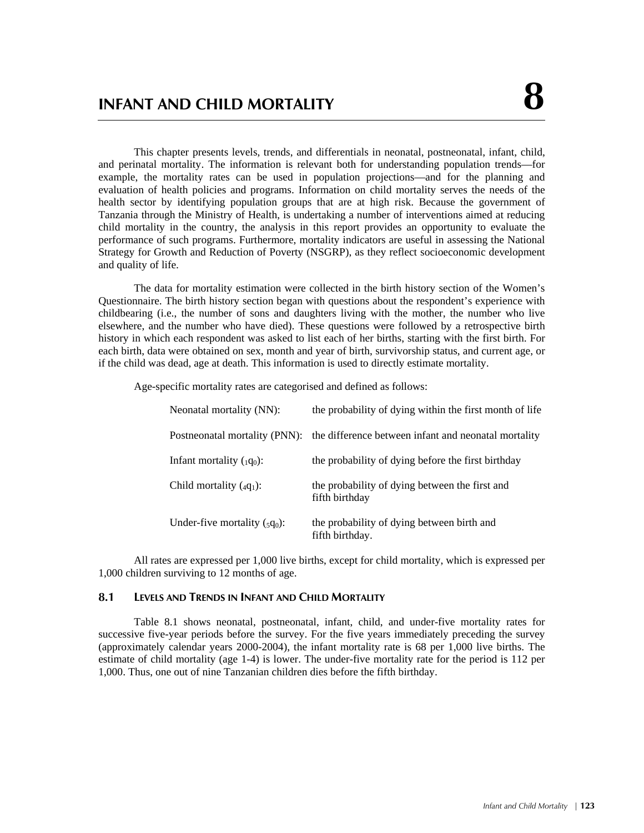# **INFANT AND CHILD MORTALITY 8**

This chapter presents levels, trends, and differentials in neonatal, postneonatal, infant, child, and perinatal mortality. The information is relevant both for understanding population trends—for example, the mortality rates can be used in population projections—and for the planning and evaluation of health policies and programs. Information on child mortality serves the needs of the health sector by identifying population groups that are at high risk. Because the government of Tanzania through the Ministry of Health, is undertaking a number of interventions aimed at reducing child mortality in the country, the analysis in this report provides an opportunity to evaluate the performance of such programs. Furthermore, mortality indicators are useful in assessing the National Strategy for Growth and Reduction of Poverty (NSGRP), as they reflect socioeconomic development and quality of life.

The data for mortality estimation were collected in the birth history section of the Women's Questionnaire. The birth history section began with questions about the respondent's experience with childbearing (i.e., the number of sons and daughters living with the mother, the number who live elsewhere, and the number who have died). These questions were followed by a retrospective birth history in which each respondent was asked to list each of her births, starting with the first birth. For each birth, data were obtained on sex, month and year of birth, survivorship status, and current age, or if the child was dead, age at death. This information is used to directly estimate mortality.

Age-specific mortality rates are categorised and defined as follows:

| Neonatal mortality (NN):               | the probability of dying within the first month of life          |
|----------------------------------------|------------------------------------------------------------------|
| Postneonatal mortality (PNN):          | the difference between infant and neonatal mortality             |
| Infant mortality $(q_0)$ :             | the probability of dying before the first birthday               |
| Child mortality $(qq_1)$ :             | the probability of dying between the first and<br>fifth birthday |
| Under-five mortality $({}_{5}q_{0})$ : | the probability of dying between birth and<br>fifth birthday.    |

All rates are expressed per 1,000 live births, except for child mortality, which is expressed per 1,000 children surviving to 12 months of age.

#### **8.1 LEVELS AND TRENDS IN INFANT AND CHILD MORTALITY**

Table 8.1 shows neonatal, postneonatal, infant, child, and under-five mortality rates for successive five-year periods before the survey. For the five years immediately preceding the survey (approximately calendar years 2000-2004), the infant mortality rate is 68 per 1,000 live births. The estimate of child mortality (age 1-4) is lower. The under-five mortality rate for the period is 112 per 1,000. Thus, one out of nine Tanzanian children dies before the fifth birthday.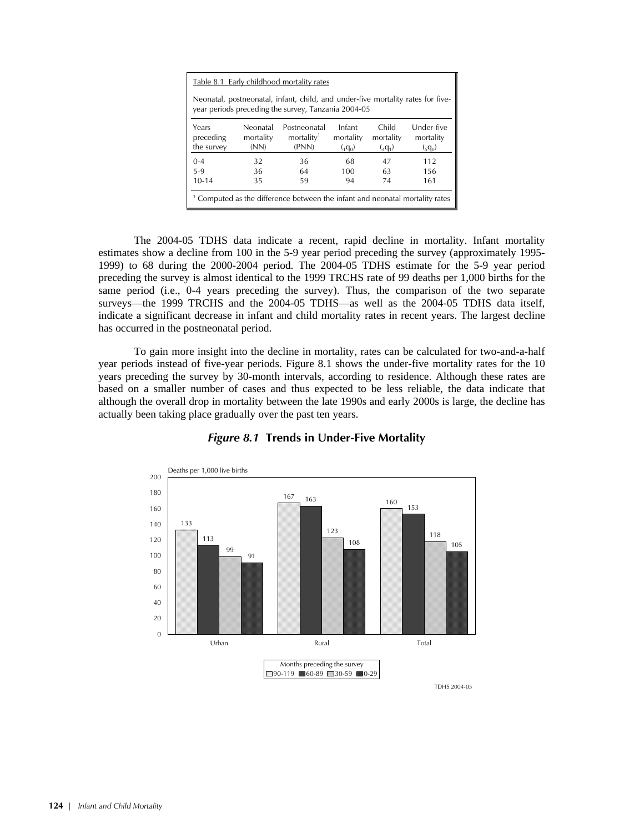| Table 8.1 Early childhood mortality rates                                                                                              |                                                                                                                                                                                           |  |  |  |  |  |  |  |
|----------------------------------------------------------------------------------------------------------------------------------------|-------------------------------------------------------------------------------------------------------------------------------------------------------------------------------------------|--|--|--|--|--|--|--|
| Neonatal, postneonatal, infant, child, and under-five mortality rates for five-<br>year periods preceding the survey, Tanzania 2004-05 |                                                                                                                                                                                           |  |  |  |  |  |  |  |
| Years<br>preceding<br>the survey                                                                                                       | Under-five<br>Infant<br>Child<br>Neonatal<br>Postneonatal<br>mortality <sup>1</sup><br>mortality<br>mortality<br>mortality<br>mortality<br>(PNN)<br>(NN)<br>$(q_0)$<br>$(q_0)$<br>$(q_1)$ |  |  |  |  |  |  |  |
| $0 - 4$                                                                                                                                | 36<br>68<br>112<br>32<br>47                                                                                                                                                               |  |  |  |  |  |  |  |
| $5-9$                                                                                                                                  | 63<br>36<br>64<br>100<br>156                                                                                                                                                              |  |  |  |  |  |  |  |
| $10 - 14$                                                                                                                              | 59<br>74<br>35<br>161<br>94                                                                                                                                                               |  |  |  |  |  |  |  |
| <sup>1</sup> Computed as the difference between the infant and neonatal mortality rates                                                |                                                                                                                                                                                           |  |  |  |  |  |  |  |

The 2004-05 TDHS data indicate a recent, rapid decline in mortality. Infant mortality estimates show a decline from 100 in the 5-9 year period preceding the survey (approximately 1995- 1999) to 68 during the 2000-2004 period. The 2004-05 TDHS estimate for the 5-9 year period preceding the survey is almost identical to the 1999 TRCHS rate of 99 deaths per 1,000 births for the same period (i.e., 0-4 years preceding the survey). Thus, the comparison of the two separate surveys—the 1999 TRCHS and the 2004-05 TDHS—as well as the 2004-05 TDHS data itself, indicate a significant decrease in infant and child mortality rates in recent years. The largest decline has occurred in the postneonatal period.

To gain more insight into the decline in mortality, rates can be calculated for two-and-a-half year periods instead of five-year periods. Figure 8.1 shows the under-five mortality rates for the 10 years preceding the survey by 30-month intervals, according to residence. Although these rates are based on a smaller number of cases and thus expected to be less reliable, the data indicate that although the overall drop in mortality between the late 1990s and early 2000s is large, the decline has actually been taking place gradually over the past ten years.



#### *Figure 8.1* **Trends in Under-Five Mortality**

TDHS 2004-05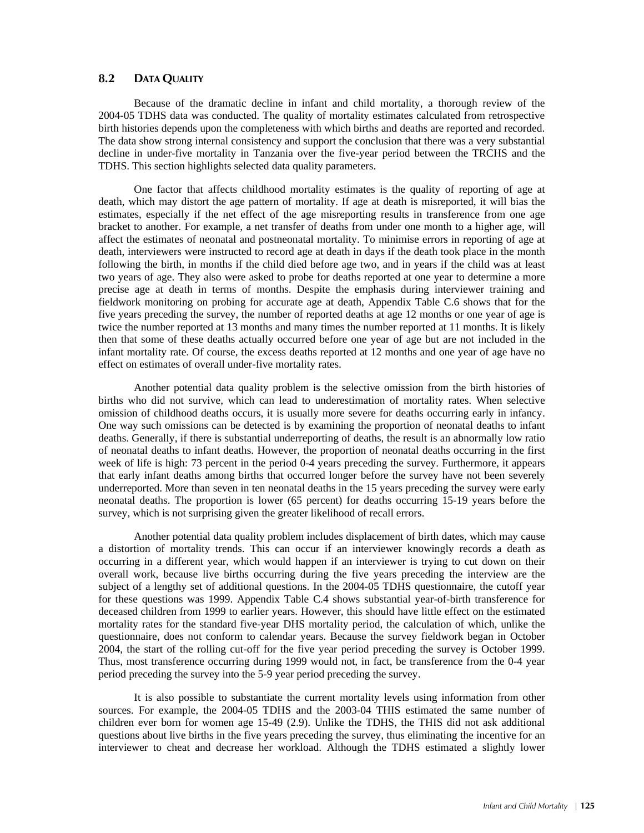#### **8.2 DATA QUALITY**

Because of the dramatic decline in infant and child mortality, a thorough review of the 2004-05 TDHS data was conducted. The quality of mortality estimates calculated from retrospective birth histories depends upon the completeness with which births and deaths are reported and recorded. The data show strong internal consistency and support the conclusion that there was a very substantial decline in under-five mortality in Tanzania over the five-year period between the TRCHS and the TDHS. This section highlights selected data quality parameters.

One factor that affects childhood mortality estimates is the quality of reporting of age at death, which may distort the age pattern of mortality. If age at death is misreported, it will bias the estimates, especially if the net effect of the age misreporting results in transference from one age bracket to another. For example, a net transfer of deaths from under one month to a higher age, will affect the estimates of neonatal and postneonatal mortality. To minimise errors in reporting of age at death, interviewers were instructed to record age at death in days if the death took place in the month following the birth, in months if the child died before age two, and in years if the child was at least two years of age. They also were asked to probe for deaths reported at one year to determine a more precise age at death in terms of months. Despite the emphasis during interviewer training and fieldwork monitoring on probing for accurate age at death, Appendix Table C.6 shows that for the five years preceding the survey, the number of reported deaths at age 12 months or one year of age is twice the number reported at 13 months and many times the number reported at 11 months. It is likely then that some of these deaths actually occurred before one year of age but are not included in the infant mortality rate. Of course, the excess deaths reported at 12 months and one year of age have no effect on estimates of overall under-five mortality rates.

Another potential data quality problem is the selective omission from the birth histories of births who did not survive, which can lead to underestimation of mortality rates. When selective omission of childhood deaths occurs, it is usually more severe for deaths occurring early in infancy. One way such omissions can be detected is by examining the proportion of neonatal deaths to infant deaths. Generally, if there is substantial underreporting of deaths, the result is an abnormally low ratio of neonatal deaths to infant deaths. However, the proportion of neonatal deaths occurring in the first week of life is high: 73 percent in the period 0-4 years preceding the survey. Furthermore, it appears that early infant deaths among births that occurred longer before the survey have not been severely underreported. More than seven in ten neonatal deaths in the 15 years preceding the survey were early neonatal deaths. The proportion is lower (65 percent) for deaths occurring 15-19 years before the survey, which is not surprising given the greater likelihood of recall errors.

Another potential data quality problem includes displacement of birth dates, which may cause a distortion of mortality trends. This can occur if an interviewer knowingly records a death as occurring in a different year, which would happen if an interviewer is trying to cut down on their overall work, because live births occurring during the five years preceding the interview are the subject of a lengthy set of additional questions. In the 2004-05 TDHS questionnaire, the cutoff year for these questions was 1999. Appendix Table C.4 shows substantial year-of-birth transference for deceased children from 1999 to earlier years. However, this should have little effect on the estimated mortality rates for the standard five-year DHS mortality period, the calculation of which, unlike the questionnaire, does not conform to calendar years. Because the survey fieldwork began in October 2004, the start of the rolling cut-off for the five year period preceding the survey is October 1999. Thus, most transference occurring during 1999 would not, in fact, be transference from the 0-4 year period preceding the survey into the 5-9 year period preceding the survey.

It is also possible to substantiate the current mortality levels using information from other sources. For example, the 2004-05 TDHS and the 2003-04 THIS estimated the same number of children ever born for women age 15-49 (2.9). Unlike the TDHS, the THIS did not ask additional questions about live births in the five years preceding the survey, thus eliminating the incentive for an interviewer to cheat and decrease her workload. Although the TDHS estimated a slightly lower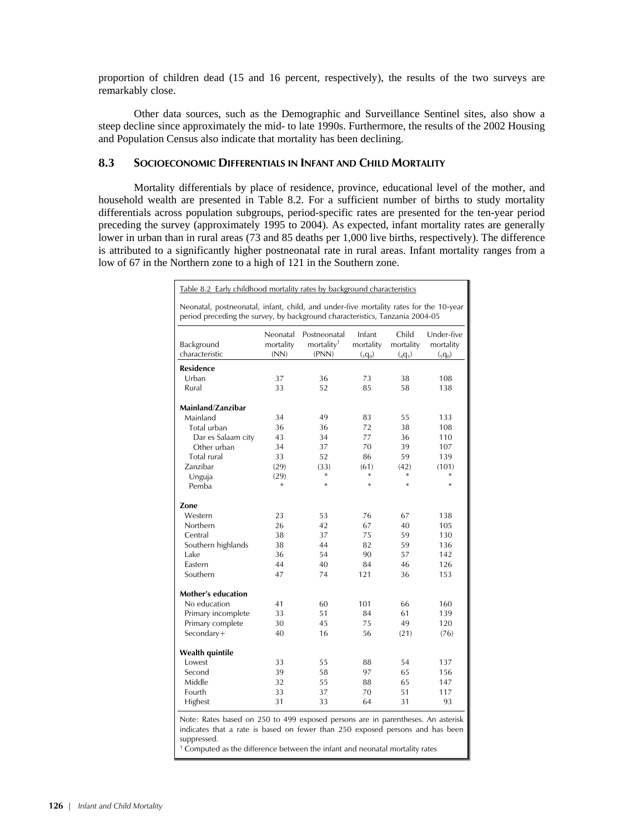proportion of children dead (15 and 16 percent, respectively), the results of the two surveys are remarkably close.

Other data sources, such as the Demographic and Surveillance Sentinel sites, also show a steep decline since approximately the mid- to late 1990s. Furthermore, the results of the 2002 Housing and Population Census also indicate that mortality has been declining.

# **8.3 SOCIOECONOMIC DIFFERENTIALS IN INFANT AND CHILD MORTALITY**

Mortality differentials by place of residence, province, educational level of the mother, and household wealth are presented in Table 8.2. For a sufficient number of births to study mortality differentials across population subgroups, period-specific rates are presented for the ten-year period preceding the survey (approximately 1995 to 2004). As expected, infant mortality rates are generally lower in urban than in rural areas (73 and 85 deaths per 1,000 live births, respectively). The difference is attributed to a significantly higher postneonatal rate in rural areas. Infant mortality ranges from a low of 67 in the Northern zone to a high of 121 in the Southern zone.

| Neonatal, postneonatal, infant, child, and under-five mortality rates for the 10-year<br>period preceding the survey, by background characteristics, Tanzania 2004-05 |                   |                                 |                      |                      |                      |  |  |
|-----------------------------------------------------------------------------------------------------------------------------------------------------------------------|-------------------|---------------------------------|----------------------|----------------------|----------------------|--|--|
|                                                                                                                                                                       | Neonatal          | Postneonatal                    | Infant               | Child                | Under-five           |  |  |
| Background<br>characteristic                                                                                                                                          | mortality<br>(NN) | mortality <sup>1</sup><br>(PNN) | mortality<br>$(q_0)$ | mortality<br>$(q_1)$ | mortality<br>$(q_0)$ |  |  |
| Residence                                                                                                                                                             |                   |                                 |                      |                      |                      |  |  |
| Urban                                                                                                                                                                 | 37                | 36                              | 73                   | 38                   | 108                  |  |  |
| Rural                                                                                                                                                                 | 33                | 52                              | 85                   | 58                   | 138                  |  |  |
|                                                                                                                                                                       |                   |                                 |                      |                      |                      |  |  |
| Mainland/Zanzibar                                                                                                                                                     |                   |                                 |                      |                      |                      |  |  |
| Mainland                                                                                                                                                              | 34                | 49                              | 83                   | 55                   | 133                  |  |  |
| Total urban                                                                                                                                                           | 36                | 36                              | 72                   | 38                   | 108                  |  |  |
| Dar es Salaam city                                                                                                                                                    | 43                | 34                              | 77                   | 36                   | 110                  |  |  |
| Other urban                                                                                                                                                           | 34                | 37                              | 70                   | 39                   | 107                  |  |  |
| Total rural                                                                                                                                                           | 33                | 52                              | 86                   | 59                   | 139                  |  |  |
| Zanzibar                                                                                                                                                              | (29)              | (33)                            | (61)                 | (42)                 | (101)                |  |  |
| Unguja                                                                                                                                                                | (29)              | $\ast$                          | *                    | *                    | *                    |  |  |
| Pemba                                                                                                                                                                 | *                 | $\ast$                          | $\ast$               | $\ast$               | $\ast$               |  |  |
| Zone                                                                                                                                                                  |                   |                                 |                      |                      |                      |  |  |
| Western                                                                                                                                                               | 23                | 53                              | 76                   | 67                   | 138                  |  |  |
| Northern                                                                                                                                                              | 26                | 42                              | 67                   | 40                   | 105                  |  |  |
| Central                                                                                                                                                               | 38                | 37                              | 75                   | 59                   | 130                  |  |  |
| Southern highlands                                                                                                                                                    | 38                | 44                              | 82                   | 59                   | 136                  |  |  |
| Lake                                                                                                                                                                  | 36                | 54                              | 90                   | 57                   | 142                  |  |  |
| Fastern                                                                                                                                                               | 44                | 40                              | 84                   | 46                   | 126                  |  |  |
| Southern                                                                                                                                                              | 47                | 74                              | 121                  | 36                   | 153                  |  |  |
| <b>Mother's education</b>                                                                                                                                             |                   |                                 |                      |                      |                      |  |  |
| No education                                                                                                                                                          | 41                | 60                              | 101                  | 66                   | 160                  |  |  |
|                                                                                                                                                                       | 33                | 51                              | 84                   | 61                   |                      |  |  |
| Primary incomplete                                                                                                                                                    | 30                | 45                              | 75                   | 49                   | 139                  |  |  |
| Primary complete<br>Secondary+                                                                                                                                        | 40                | 16                              | 56                   | (21)                 | 120<br>(76)          |  |  |
|                                                                                                                                                                       |                   |                                 |                      |                      |                      |  |  |
| Wealth quintile                                                                                                                                                       |                   |                                 |                      |                      |                      |  |  |
| <b>Lowest</b>                                                                                                                                                         | 33                | 55                              | 88                   | 54                   | 137                  |  |  |
| Second                                                                                                                                                                | 39                | 58                              | 97                   | 65                   | 156                  |  |  |
| Middle                                                                                                                                                                | 32                | 55                              | 88                   | 65                   | 147                  |  |  |
| Fourth                                                                                                                                                                | 33                | 37                              | 70                   | 51                   | 117                  |  |  |
| Highest                                                                                                                                                               | 31                | 33                              | 64                   | 31                   | 93                   |  |  |

<sup>1</sup> Computed as the difference between the infant and neonatal mortality rates

suppressed.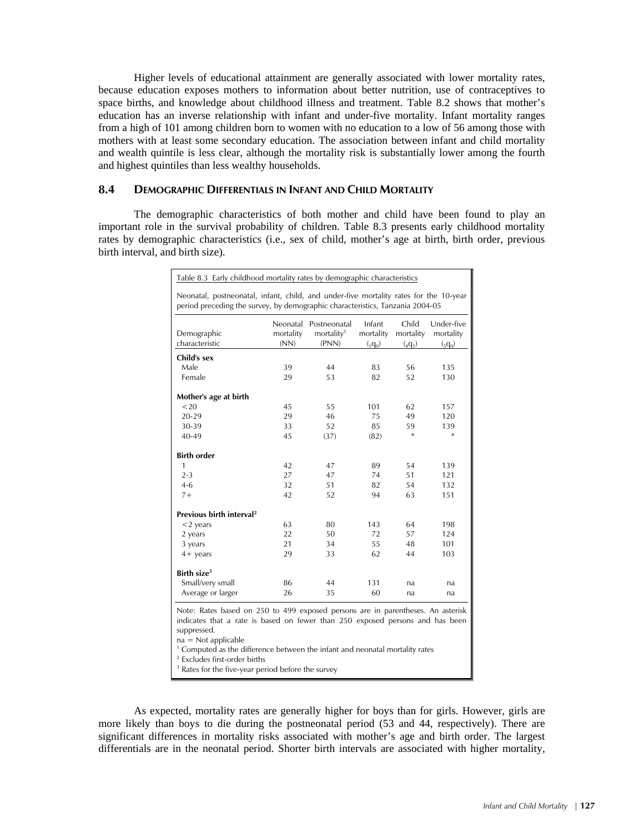Higher levels of educational attainment are generally associated with lower mortality rates, because education exposes mothers to information about better nutrition, use of contraceptives to space births, and knowledge about childhood illness and treatment. Table 8.2 shows that mother's education has an inverse relationship with infant and under-five mortality. Infant mortality ranges from a high of 101 among children born to women with no education to a low of 56 among those with mothers with at least some secondary education. The association between infant and child mortality and wealth quintile is less clear, although the mortality risk is substantially lower among the fourth and highest quintiles than less wealthy households.

# **8.4 DEMOGRAPHIC DIFFERENTIALS IN INFANT AND CHILD MORTALITY**

The demographic characteristics of both mother and child have been found to play an important role in the survival probability of children. Table 8.3 presents early childhood mortality rates by demographic characteristics (i.e., sex of child, mother's age at birth, birth order, previous birth interval, and birth size).

| Table 8.3 Early childhood mortality rates by demographic characteristics                                                                                               |           |                        |           |           |            |  |  |
|------------------------------------------------------------------------------------------------------------------------------------------------------------------------|-----------|------------------------|-----------|-----------|------------|--|--|
| Neonatal, postneonatal, infant, child, and under-five mortality rates for the 10-year<br>period preceding the survey, by demographic characteristics, Tanzania 2004-05 |           |                        |           |           |            |  |  |
|                                                                                                                                                                        |           | Neonatal Postneonatal  | Infant    | Child     | Under-five |  |  |
| Demographic                                                                                                                                                            | mortality | mortality <sup>1</sup> | mortality | mortality | mortality  |  |  |
| characteristic                                                                                                                                                         | (NN)      | (PNN)                  | $(q_0)$   | $(q_1)$   | $(q_0)$    |  |  |
| Child's sex                                                                                                                                                            |           |                        |           |           |            |  |  |
| Male                                                                                                                                                                   | 39        | 44                     | 83        | 56        | 135        |  |  |
| Female                                                                                                                                                                 | 29        | 53                     | 82        | 52        | 130        |  |  |
| Mother's age at birth                                                                                                                                                  |           |                        |           |           |            |  |  |
| $20$                                                                                                                                                                   | 45        | 55                     | 101       | 62        | 157        |  |  |
| $20 - 29$                                                                                                                                                              | 29        | 46                     | 75        | 49        | 120        |  |  |
| 30-39                                                                                                                                                                  | 33        | 52                     | 85        | 59        | 139        |  |  |
| $40 - 49$                                                                                                                                                              | 45        | (37)                   | (82)      | $\ast$    | *          |  |  |
| <b>Birth order</b>                                                                                                                                                     |           |                        |           |           |            |  |  |
| 1                                                                                                                                                                      | 42        | 47                     | 89        | 54        | 139        |  |  |
| $2 - 3$                                                                                                                                                                | 27        | 47                     | 74        | 51        | 121        |  |  |
| $4-6$                                                                                                                                                                  | 32        | 51                     | 82        | 54        | 132        |  |  |
| $7 +$                                                                                                                                                                  | 42        | 52                     | 94        | 63        | 151        |  |  |
| Previous birth interval <sup>2</sup>                                                                                                                                   |           |                        |           |           |            |  |  |
| $<$ 2 years                                                                                                                                                            | 63        | 80                     | 143       | 64        | 198        |  |  |
| 2 years                                                                                                                                                                | 22        | 50                     | 72        | 57        | 124        |  |  |
| 3 years                                                                                                                                                                | 21        | 34                     | 55        | 48        | 101        |  |  |
| $4+$ years                                                                                                                                                             | 29        | 33                     | 62        | 44        | 103        |  |  |
| Birth size $3$                                                                                                                                                         |           |                        |           |           |            |  |  |
| Small/very small                                                                                                                                                       | 86        | 44                     | 131       | na        | na         |  |  |
| Average or larger                                                                                                                                                      | 26        | 35                     | 60        | na        | na         |  |  |

Note: Rates based on 250 to 499 exposed persons are in parentheses. An asterisk indicates that a rate is based on fewer than 250 exposed persons and has been suppressed.

 $na = Not applicable$ 

<sup>1</sup> Computed as the difference between the infant and neonatal mortality rates

2 Excludes first-order births

<sup>3</sup> Rates for the five-year period before the survey

As expected, mortality rates are generally higher for boys than for girls. However, girls are more likely than boys to die during the postneonatal period (53 and 44, respectively). There are significant differences in mortality risks associated with mother's age and birth order. The largest differentials are in the neonatal period. Shorter birth intervals are associated with higher mortality,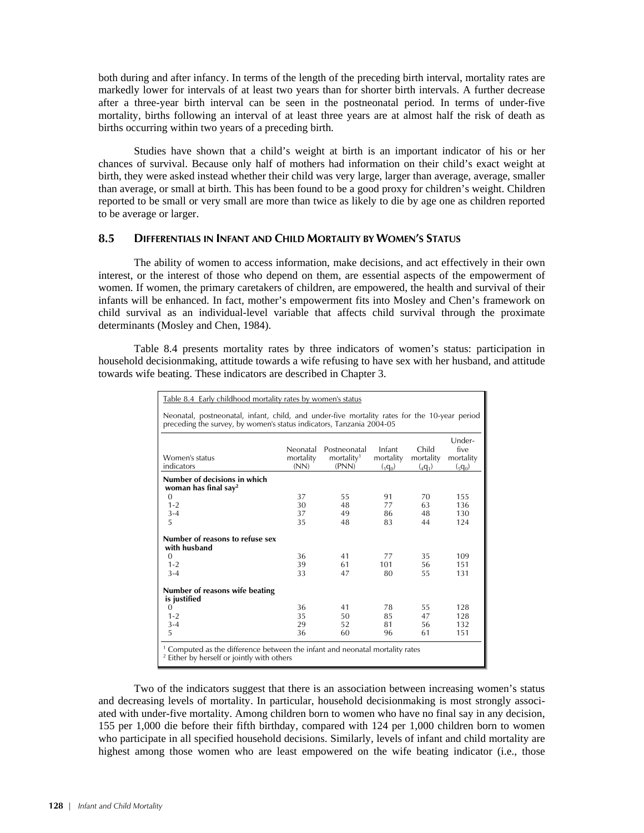both during and after infancy. In terms of the length of the preceding birth interval, mortality rates are markedly lower for intervals of at least two years than for shorter birth intervals. A further decrease after a three-year birth interval can be seen in the postneonatal period. In terms of under-five mortality, births following an interval of at least three years are at almost half the risk of death as births occurring within two years of a preceding birth.

Studies have shown that a child's weight at birth is an important indicator of his or her chances of survival. Because only half of mothers had information on their child's exact weight at birth, they were asked instead whether their child was very large, larger than average, average, smaller than average, or small at birth. This has been found to be a good proxy for children's weight. Children reported to be small or very small are more than twice as likely to die by age one as children reported to be average or larger.

# **8.5 DIFFERENTIALS IN INFANT AND CHILD MORTALITY BY WOMEN'S STATUS**

The ability of women to access information, make decisions, and act effectively in their own interest, or the interest of those who depend on them, are essential aspects of the empowerment of women. If women, the primary caretakers of children, are empowered, the health and survival of their infants will be enhanced. In fact, mother's empowerment fits into Mosley and Chen's framework on child survival as an individual-level variable that affects child survival through the proximate determinants (Mosley and Chen, 1984).

Table 8.4 presents mortality rates by three indicators of women's status: participation in household decisionmaking, attitude towards a wife refusing to have sex with her husband, and attitude towards wife beating. These indicators are described in Chapter 3.

| Table 8.4 Early childhood mortality rates by women's status                                                                                                          |                               |                                                 |                                |                               |                                        |  |  |
|----------------------------------------------------------------------------------------------------------------------------------------------------------------------|-------------------------------|-------------------------------------------------|--------------------------------|-------------------------------|----------------------------------------|--|--|
| Neonatal, postneonatal, infant, child, and under-five mortality rates for the 10-year period<br>preceding the survey, by women's status indicators, Tanzania 2004-05 |                               |                                                 |                                |                               |                                        |  |  |
| Women's status<br>indicators                                                                                                                                         | Neonatal<br>mortality<br>(NN) | Postneonatal<br>mortality <sup>1</sup><br>(PNN) | Infant<br>mortality<br>$(q_0)$ | Child<br>mortality<br>$(q_1)$ | Under-<br>five<br>mortality<br>$(q_0)$ |  |  |
| Number of decisions in which<br>woman has final say <sup>2</sup>                                                                                                     |                               |                                                 |                                |                               |                                        |  |  |
| $\Omega$                                                                                                                                                             | 37                            | 55                                              | 91                             | 70                            | 155                                    |  |  |
| $1 - 2$                                                                                                                                                              | 30                            | 48                                              | 77                             | 63                            | 136                                    |  |  |
| $3 - 4$                                                                                                                                                              | 37                            | 49                                              | 86                             | 48                            | 130                                    |  |  |
| 5                                                                                                                                                                    | 35                            | 48                                              | 83                             | 44                            | 124                                    |  |  |
| Number of reasons to refuse sex<br>with husband                                                                                                                      |                               |                                                 |                                |                               |                                        |  |  |
| $\Omega$                                                                                                                                                             | 36                            | 41                                              | 77                             | 35                            | 109                                    |  |  |
| $1 - 2$                                                                                                                                                              | 39                            | 61                                              | 101                            | 56                            | 151                                    |  |  |
| $3 - 4$                                                                                                                                                              | 33                            | 47                                              | 80                             | 55                            | 131                                    |  |  |
| Number of reasons wife beating<br>is justified                                                                                                                       |                               |                                                 |                                |                               |                                        |  |  |
| $\Omega$                                                                                                                                                             | 36                            | 41                                              | 78                             | 55                            | 128                                    |  |  |
| $1 - 2$                                                                                                                                                              | 35                            | 50                                              | 85                             | 47                            | 128                                    |  |  |
| $3 - 4$                                                                                                                                                              | 29                            | 52                                              | 81                             | 56                            | 132                                    |  |  |
| 5                                                                                                                                                                    | 36                            | 60                                              | 96                             | 61                            | 151                                    |  |  |
| <sup>1</sup> Computed as the difference between the infant and neonatal mortality rates<br><sup>2</sup> Either by herself or jointly with others                     |                               |                                                 |                                |                               |                                        |  |  |

Two of the indicators suggest that there is an association between increasing women's status and decreasing levels of mortality. In particular, household decisionmaking is most strongly associated with under-five mortality. Among children born to women who have no final say in any decision, 155 per 1,000 die before their fifth birthday, compared with 124 per 1,000 children born to women who participate in all specified household decisions. Similarly, levels of infant and child mortality are highest among those women who are least empowered on the wife beating indicator (i.e., those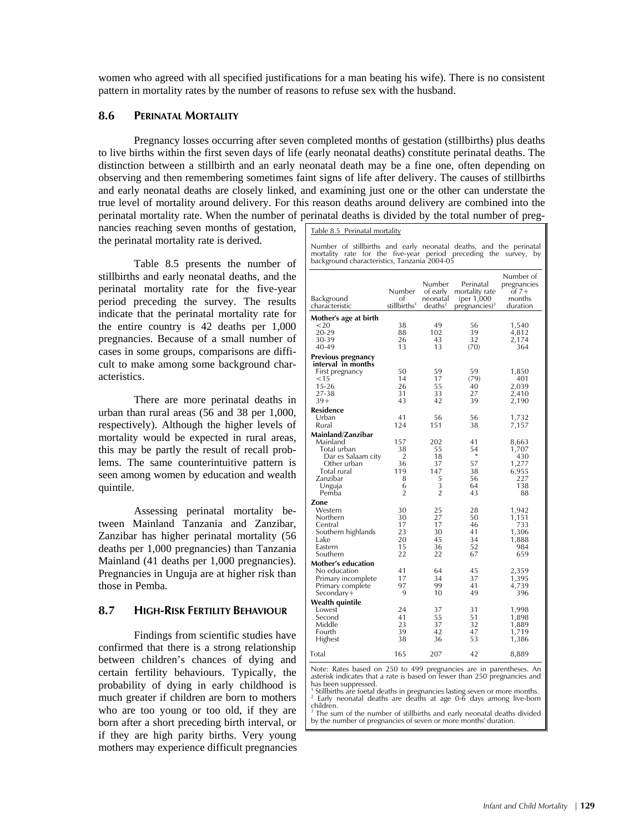women who agreed with all specified justifications for a man beating his wife). There is no consistent pattern in mortality rates by the number of reasons to refuse sex with the husband.

# **8.6 PERINATAL MORTALITY**

Pregnancy losses occurring after seven completed months of gestation (stillbirths) plus deaths to live births within the first seven days of life (early neonatal deaths) constitute perinatal deaths. The distinction between a stillbirth and an early neonatal death may be a fine one, often depending on observing and then remembering sometimes faint signs of life after delivery. The causes of stillbirths and early neonatal deaths are closely linked, and examining just one or the other can understate the true level of mortality around delivery. For this reason deaths around delivery are combined into the perinatal mortality rate. When the number of perinatal deaths is divided by the total number of preg-

nancies reaching seven months of gestation, the perinatal mortality rate is derived.

Table 8.5 presents the number of stillbirths and early neonatal deaths, and the perinatal mortality rate for the five-year period preceding the survey. The results indicate that the perinatal mortality rate for the entire country is 42 deaths per 1,000 pregnancies. Because of a small number of cases in some groups, comparisons are difficult to make among some background characteristics.

There are more perinatal deaths in urban than rural areas (56 and 38 per 1,000, respectively). Although the higher levels of mortality would be expected in rural areas, this may be partly the result of recall problems. The same counterintuitive pattern is seen among women by education and wealth quintile.

Assessing perinatal mortality between Mainland Tanzania and Zanzibar, Zanzibar has higher perinatal mortality (56 deaths per 1,000 pregnancies) than Tanzania Mainland (41 deaths per 1,000 pregnancies). Pregnancies in Unguja are at higher risk than those in Pemba.

#### **8.7 HIGH-RISK FERTILITY BEHAVIOUR**

Findings from scientific studies have confirmed that there is a strong relationship between children's chances of dying and certain fertility behaviours. Typically, the probability of dying in early childhood is much greater if children are born to mothers who are too young or too old, if they are born after a short preceding birth interval, or if they are high parity births. Very young mothers may experience difficult pregnancies

| Table 8.5 Perinatal mortality |  |
|-------------------------------|--|
|                               |  |

Number of stillbirths and early neonatal deaths, and the perinatal mortality rate for the five-year period preceding the survey, by background characteristics, Tanzania 2004-05

| Background<br>characteristic             | Number<br>of<br>stillbirths <sup>1</sup> | Number<br>of early<br>neonatal<br>deaths <sup>2</sup> | Perinatal<br>mortality rate<br>(per 1,000<br>pregnancies) <sup>3</sup> | Number of<br>pregnancies<br>ot $7+$<br>months<br>duration |
|------------------------------------------|------------------------------------------|-------------------------------------------------------|------------------------------------------------------------------------|-----------------------------------------------------------|
| Mother's age at birth                    |                                          |                                                       |                                                                        |                                                           |
| ${<}20$                                  | 38                                       | 49                                                    | 56                                                                     | 1,540                                                     |
| 20-29                                    | 88                                       | 102                                                   | 39                                                                     | 4,812                                                     |
| 30-39                                    | 26                                       | 43                                                    | 32                                                                     | 2,174                                                     |
| 40-49                                    | 13                                       | 13                                                    | (70)                                                                   | 364                                                       |
|                                          |                                          |                                                       |                                                                        |                                                           |
| Previous pregnancy<br>interval in months |                                          |                                                       |                                                                        |                                                           |
| First pregnancy                          | 50                                       | 59                                                    | 59                                                                     | 1,850                                                     |
| < 15                                     | 14                                       | 17                                                    | (79)                                                                   | 401                                                       |
| 15-26                                    | 26                                       | 55                                                    | 40                                                                     | 2,039                                                     |
| 27-38                                    | 31                                       | 33                                                    | 27                                                                     | 2,410                                                     |
| $39+$                                    | 43                                       | 42                                                    | 39                                                                     | 2,190                                                     |
| <b>Residence</b>                         |                                          |                                                       |                                                                        |                                                           |
| Urban                                    | 41                                       | 56                                                    | 56                                                                     | 1,732                                                     |
| Rural                                    | 124                                      | 151                                                   | 38                                                                     | 7,157                                                     |
| Mainland/Zanzibar                        |                                          |                                                       |                                                                        |                                                           |
| Mainland                                 | 157                                      | 202                                                   |                                                                        |                                                           |
| Total urban                              | 38                                       | 55                                                    | 41<br>54                                                               | 8,663                                                     |
| Dar es Salaam city                       | 2                                        | 18                                                    | ∗                                                                      | 1,707<br>430                                              |
| Other urban                              | 36                                       | 37                                                    | 57                                                                     | 1,277                                                     |
| Total rural                              | 119                                      | 147                                                   | 38                                                                     | 6,955                                                     |
| Zanzibar                                 | 8                                        | 5                                                     | 56                                                                     | 227                                                       |
| Unguja                                   | 6                                        | 3                                                     | 64                                                                     | 138                                                       |
| Pemba                                    | $\overline{2}$                           | $\overline{2}$                                        | 43                                                                     | 88                                                        |
| Zone                                     |                                          |                                                       |                                                                        |                                                           |
| Western                                  | 30                                       | 25                                                    | 28                                                                     | 1,942                                                     |
| Northern                                 | 30                                       | 27                                                    | 50                                                                     | 1,151                                                     |
| Central                                  | 17                                       | 17                                                    | 46                                                                     | 733                                                       |
| Southern highlands                       | 23                                       | 30                                                    | 41                                                                     | 1,306                                                     |
| Lake                                     | 20                                       | 45                                                    | 34                                                                     | 1,888                                                     |
| Eastern                                  | 15                                       | 36                                                    | 52                                                                     | 984                                                       |
| Southern                                 | 22                                       | 22                                                    | 67                                                                     | 659                                                       |
| <b>Mother's education</b>                |                                          |                                                       |                                                                        |                                                           |
| No education                             | 41                                       | 64                                                    | 45                                                                     | 2,359                                                     |
| Primary incomplete                       | 17                                       | 34                                                    | 37                                                                     | 1,395                                                     |
| Primary complete                         | 97                                       | 99                                                    | 41                                                                     | 4,739                                                     |
| Secondary+                               | 9                                        | 10                                                    | 49                                                                     | 396                                                       |
| Wealth quintile                          |                                          |                                                       |                                                                        |                                                           |
| Lowest                                   | 24                                       | 37                                                    | 31                                                                     | 1,998                                                     |
| Second                                   | 41                                       | 55                                                    | 51                                                                     | 1,898                                                     |
| Middle                                   | 23                                       | 37                                                    | 32                                                                     | 1,889                                                     |
| Fourth                                   | 39                                       | 42                                                    | 47                                                                     | 1,719                                                     |
| Highest                                  | 38                                       | 36                                                    | 53                                                                     | 1,386                                                     |
|                                          |                                          |                                                       |                                                                        |                                                           |
| Total                                    | 165                                      | 207                                                   | 42                                                                     | 8,889                                                     |

Note: Rates based on 250 to 499 pregnancies are in parentheses. An asterisk indicates that a rate is based on fewer than 250 pregnancies and has been suppressed.

1 Stillbirths are foetal deaths in pregnancies lasting seven or more months. 2 Early neonatal deaths are deaths at age 0-6 days among live-born children.

The sum of the number of stillbirths and early neonatal deaths divided by the number of pregnancies of seven or more months' duration.